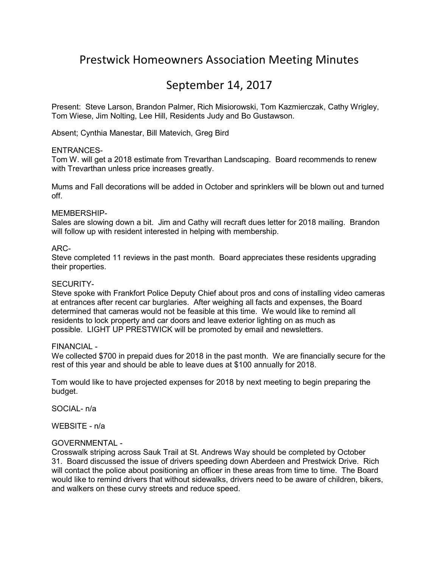# Prestwick Homeowners Association Meeting Minutes

## September 14, 2017

Present: Steve Larson, Brandon Palmer, Rich Misiorowski, Tom Kazmierczak, Cathy Wrigley, Tom Wiese, Jim Nolting, Lee Hill, Residents Judy and Bo Gustawson.

Absent; Cynthia Manestar, Bill Matevich, Greg Bird

## ENTRANCES-

Tom W. will get a 2018 estimate from Trevarthan Landscaping. Board recommends to renew with Trevarthan unless price increases greatly.

Mums and Fall decorations will be added in October and sprinklers will be blown out and turned off.

#### MEMBERSHIP-

Sales are slowing down a bit. Jim and Cathy will recraft dues letter for 2018 mailing. Brandon will follow up with resident interested in helping with membership.

#### ARC-

Steve completed 11 reviews in the past month. Board appreciates these residents upgrading their properties.

#### SECURITY-

Steve spoke with Frankfort Police Deputy Chief about pros and cons of installing video cameras at entrances after recent car burglaries. After weighing all facts and expenses, the Board determined that cameras would not be feasible at this time. We would like to remind all residents to lock property and car doors and leave exterior lighting on as much as possible. LIGHT UP PRESTWICK will be promoted by email and newsletters.

#### FINANCIAL -

We collected \$700 in prepaid dues for 2018 in the past month. We are financially secure for the rest of this year and should be able to leave dues at \$100 annually for 2018.

Tom would like to have projected expenses for 2018 by next meeting to begin preparing the budget.

SOCIAL- n/a

WEBSITE - n/a

## GOVERNMENTAL -

Crosswalk striping across Sauk Trail at St. Andrews Way should be completed by October 31. Board discussed the issue of drivers speeding down Aberdeen and Prestwick Drive. Rich will contact the police about positioning an officer in these areas from time to time. The Board would like to remind drivers that without sidewalks, drivers need to be aware of children, bikers, and walkers on these curvy streets and reduce speed.